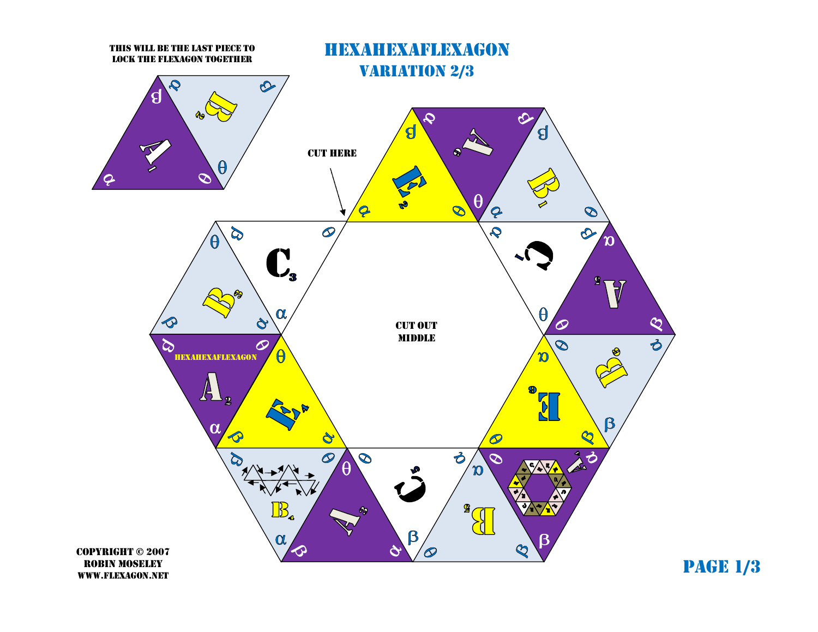

page 1/3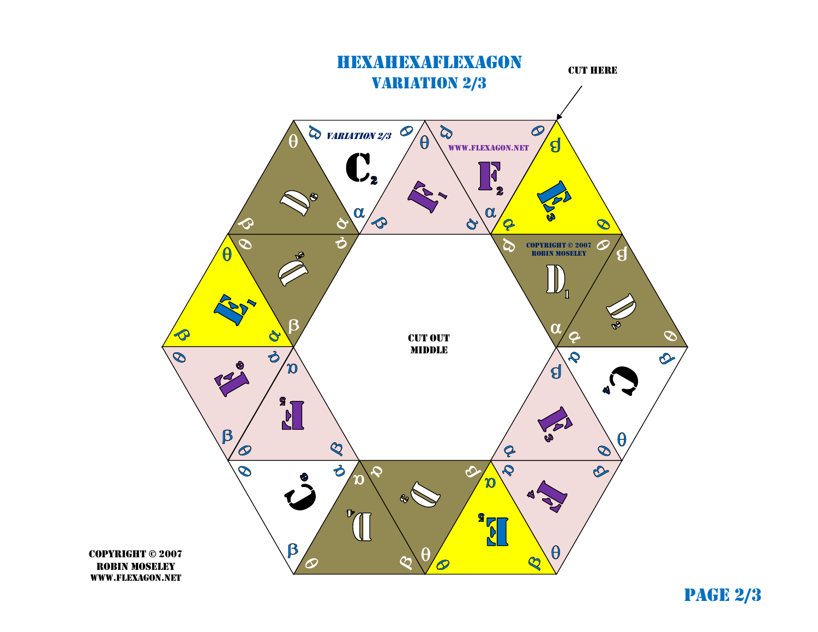